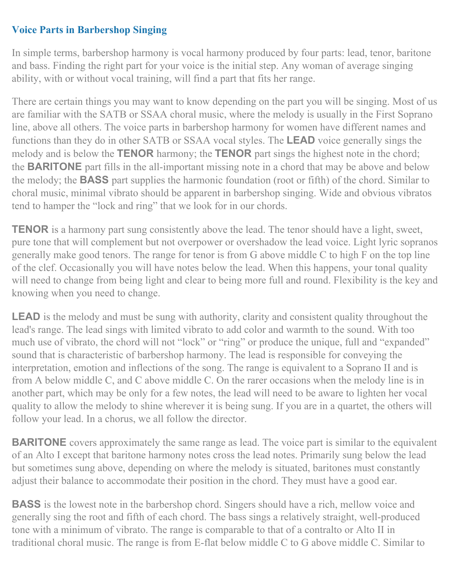## **Voice Parts in Barbershop Singing**

In simple terms, barbershop harmony is vocal harmony produced by four parts: lead, tenor, baritone and bass. Finding the right part for your voice is the initial step. Any woman of average singing ability, with or without vocal training, will find a part that fits her range.

There are certain things you may want to know depending on the part you will be singing. Most of us are familiar with the SATB or SSAA choral music, where the melody is usually in the First Soprano line, above all others. The voice parts in barbershop harmony for women have different names and functions than they do in other SATB or SSAA vocal styles. The **LEAD** voice generally sings the melody and is below the **TENOR** harmony; the **TENOR** part sings the highest note in the chord; the **BARITONE** part fills in the all-important missing note in a chord that may be above and below the melody; the **BASS** part supplies the harmonic foundation (root or fifth) of the chord. Similar to choral music, minimal vibrato should be apparent in barbershop singing. Wide and obvious vibratos tend to hamper the "lock and ring" that we look for in our chords.

**TENOR** is a harmony part sung consistently above the lead. The tenor should have a light, sweet, pure tone that will complement but not overpower or overshadow the lead voice. Light lyric sopranos generally make good tenors. The range for tenor is from G above middle C to high F on the top line of the clef. Occasionally you will have notes below the lead. When this happens, your tonal quality will need to change from being light and clear to being more full and round. Flexibility is the key and knowing when you need to change.

**LEAD** is the melody and must be sung with authority, clarity and consistent quality throughout the lead's range. The lead sings with limited vibrato to add color and warmth to the sound. With too much use of vibrato, the chord will not "lock" or "ring" or produce the unique, full and "expanded" sound that is characteristic of barbershop harmony. The lead is responsible for conveying the interpretation, emotion and inflections of the song. The range is equivalent to a Soprano II and is from A below middle C, and C above middle C. On the rarer occasions when the melody line is in another part, which may be only for a few notes, the lead will need to be aware to lighten her vocal quality to allow the melody to shine wherever it is being sung. If you are in a quartet, the others will follow your lead. In a chorus, we all follow the director.

**BARITONE** covers approximately the same range as lead. The voice part is similar to the equivalent of an Alto I except that baritone harmony notes cross the lead notes. Primarily sung below the lead but sometimes sung above, depending on where the melody is situated, baritones must constantly adjust their balance to accommodate their position in the chord. They must have a good ear.

**BASS** is the lowest note in the barbershop chord. Singers should have a rich, mellow voice and generally sing the root and fifth of each chord. The bass sings a relatively straight, well-produced tone with a minimum of vibrato. The range is comparable to that of a contralto or Alto II in traditional choral music. The range is from E-flat below middle C to G above middle C. Similar to